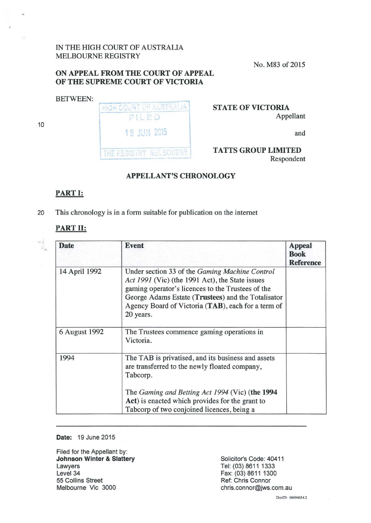IN THE HIGH COURT OF AUSTRALIA MELBOURNE REGISTRY

No. M83 of 2015

# **ON APPEAL FROM THE COURT OF APPEAL OF THE SUPREME COURT OF VICTORIA**

BETWEEN:

10

 $\circ$  .  $\leq$  HIGH COURT OF AUSTRALIA PILED **19 JUN 2015** THE REGISTRY MELBOURNE

### **STATE OF VICTORIA**  Appellant

and

#### **TATTS GROUP LIMITED**  Respondent

# **APPELLANT'S CHRONOLOGY**

## **PART 1:**

20 This chronology is in a form suitable for publication on the internet

#### **PART II:**

| <b>Date</b>   | <b>Event</b>                                                                                                                                                                                                                                                                           | <b>Appeal</b><br><b>Book</b><br><b>Reference</b> |
|---------------|----------------------------------------------------------------------------------------------------------------------------------------------------------------------------------------------------------------------------------------------------------------------------------------|--------------------------------------------------|
| 14 April 1992 | Under section 33 of the <i>Gaming Machine Control</i><br>Act 1991 (Vic) (the 1991 Act), the State issues<br>gaming operator's licences to the Trustees of the<br>George Adams Estate (Trustees) and the Totalisator<br>Agency Board of Victoria (TAB), each for a term of<br>20 years. |                                                  |
| 6 August 1992 | The Trustees commence gaming operations in<br>Victoria.                                                                                                                                                                                                                                |                                                  |
| 1994          | The TAB is privatised, and its business and assets<br>are transferred to the newly floated company,<br>Tabcorp.                                                                                                                                                                        |                                                  |
|               | The Gaming and Betting Act 1994 (Vic) (the 1994<br>Act) is enacted which provides for the grant to<br>Tabcorp of two conjoined licences, being a                                                                                                                                       |                                                  |

#### **Date:** 19 June 2015

Filed for the Appellant by: **Johnson Winter & Slattery**  Lawyers Level 34 55 Collins Street Melbourne Vic 3000

Solicitor's Code: 40411 Tel: (03) 8611 1333 Fax: (03) 8611 1300 Ref: Chris Connor chris.connor@jws.com.au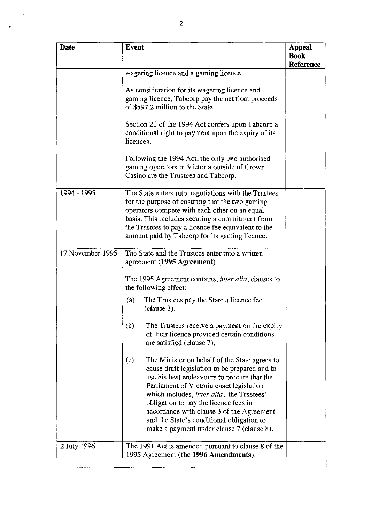| <b>Date</b>      | <b>Event</b>                                                                                                                                                                                                                                                                                                                                                                                                                          | <b>Appeal</b>                   |
|------------------|---------------------------------------------------------------------------------------------------------------------------------------------------------------------------------------------------------------------------------------------------------------------------------------------------------------------------------------------------------------------------------------------------------------------------------------|---------------------------------|
|                  |                                                                                                                                                                                                                                                                                                                                                                                                                                       | <b>Book</b><br><b>Reference</b> |
|                  | wagering licence and a gaming licence.                                                                                                                                                                                                                                                                                                                                                                                                |                                 |
|                  | As consideration for its wagering licence and<br>gaming licence, Tabcorp pay the net float proceeds<br>of \$597.2 million to the State.                                                                                                                                                                                                                                                                                               |                                 |
|                  | Section 21 of the 1994 Act confers upon Tabcorp a<br>conditional right to payment upon the expiry of its<br>licences.                                                                                                                                                                                                                                                                                                                 |                                 |
|                  | Following the 1994 Act, the only two authorised<br>gaming operators in Victoria outside of Crown<br>Casino are the Trustees and Tabcorp.                                                                                                                                                                                                                                                                                              |                                 |
| 1994 - 1995      | The State enters into negotiations with the Trustees<br>for the purpose of ensuring that the two gaming<br>operators compete with each other on an equal<br>basis. This includes securing a commitment from<br>the Trustees to pay a licence fee equivalent to the<br>amount paid by Tabcorp for its gaming licence.                                                                                                                  |                                 |
| 17 November 1995 | The State and the Trustees enter into a written<br>agreement (1995 Agreement).                                                                                                                                                                                                                                                                                                                                                        |                                 |
|                  | The 1995 Agreement contains, <i>inter alia</i> , clauses to<br>the following effect:                                                                                                                                                                                                                                                                                                                                                  |                                 |
|                  | The Trustees pay the State a licence fee<br>(a)<br>clause 3).                                                                                                                                                                                                                                                                                                                                                                         |                                 |
|                  | (b)<br>The Trustees receive a payment on the expiry<br>of their licence provided certain conditions<br>are satisfied (clause 7).                                                                                                                                                                                                                                                                                                      |                                 |
|                  | The Minister on behalf of the State agrees to<br>(c)<br>cause draft legislation to be prepared and to<br>use his best endeavours to procure that the<br>Parliament of Victoria enact legislation<br>which includes, <i>inter alia</i> , the Trustees'<br>obligation to pay the licence fees in<br>accordance with clause 3 of the Agreement<br>and the State's conditional obligation to<br>make a payment under clause 7 (clause 8). |                                 |
| 2 July 1996      | The 1991 Act is amended pursuant to clause 8 of the<br>1995 Agreement (the 1996 Amendments).                                                                                                                                                                                                                                                                                                                                          |                                 |

 $\ddot{\phantom{0}}$ 

 $\ddot{\phantom{1}}$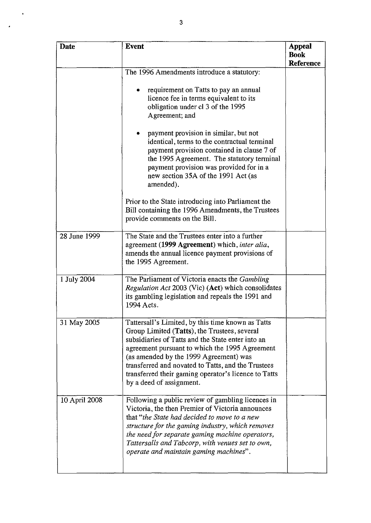| <b>Date</b>   | <b>Event</b>                                                                                                                                                                                                                                                                                                                                                                                 | <b>Appeal</b><br><b>Book</b> |
|---------------|----------------------------------------------------------------------------------------------------------------------------------------------------------------------------------------------------------------------------------------------------------------------------------------------------------------------------------------------------------------------------------------------|------------------------------|
|               |                                                                                                                                                                                                                                                                                                                                                                                              | <b>Reference</b>             |
|               | The 1996 Amendments introduce a statutory:                                                                                                                                                                                                                                                                                                                                                   |                              |
|               | requirement on Tatts to pay an annual<br>۰<br>licence fee in terms equivalent to its<br>obligation under cl 3 of the 1995<br>Agreement; and                                                                                                                                                                                                                                                  |                              |
|               | payment provision in similar, but not<br>identical, terms to the contractual terminal<br>payment provision contained in clause 7 of<br>the 1995 Agreement. The statutory terminal<br>payment provision was provided for in a<br>new section 35A of the 1991 Act (as<br>amended).                                                                                                             |                              |
|               | Prior to the State introducing into Parliament the<br>Bill containing the 1996 Amendments, the Trustees<br>provide comments on the Bill.                                                                                                                                                                                                                                                     |                              |
| 28 June 1999  | The State and the Trustees enter into a further<br>agreement (1999 Agreement) which, inter alia,<br>amends the annual licence payment provisions of<br>the 1995 Agreement.                                                                                                                                                                                                                   |                              |
| 1 July 2004   | The Parliament of Victoria enacts the Gambling<br><i>Regulation Act 2003 (Vic) (Act)</i> which consolidates<br>its gambling legislation and repeals the 1991 and<br>1994 Acts.                                                                                                                                                                                                               |                              |
| 31 May 2005   | Tattersall's Limited, by this time known as Tatts<br>Group Limited (Tatts), the Trustees, several<br>subsidiaries of Tatts and the State enter into an<br>agreement pursuant to which the 1995 Agreement<br>(as amended by the 1999 Agreement) was<br>transferred and novated to Tatts, and the Trustees<br>transferred their gaming operator's licence to Tatts<br>by a deed of assignment. |                              |
| 10 April 2008 | Following a public review of gambling licences in<br>Victoria, the then Premier of Victoria announces<br>that "the State had decided to move to a new<br>structure for the gaming industry, which removes<br>the need for separate gaming machine operators,<br>Tattersalls and Tabcorp, with venues set to own,<br>operate and maintain gaming machines".                                   |                              |